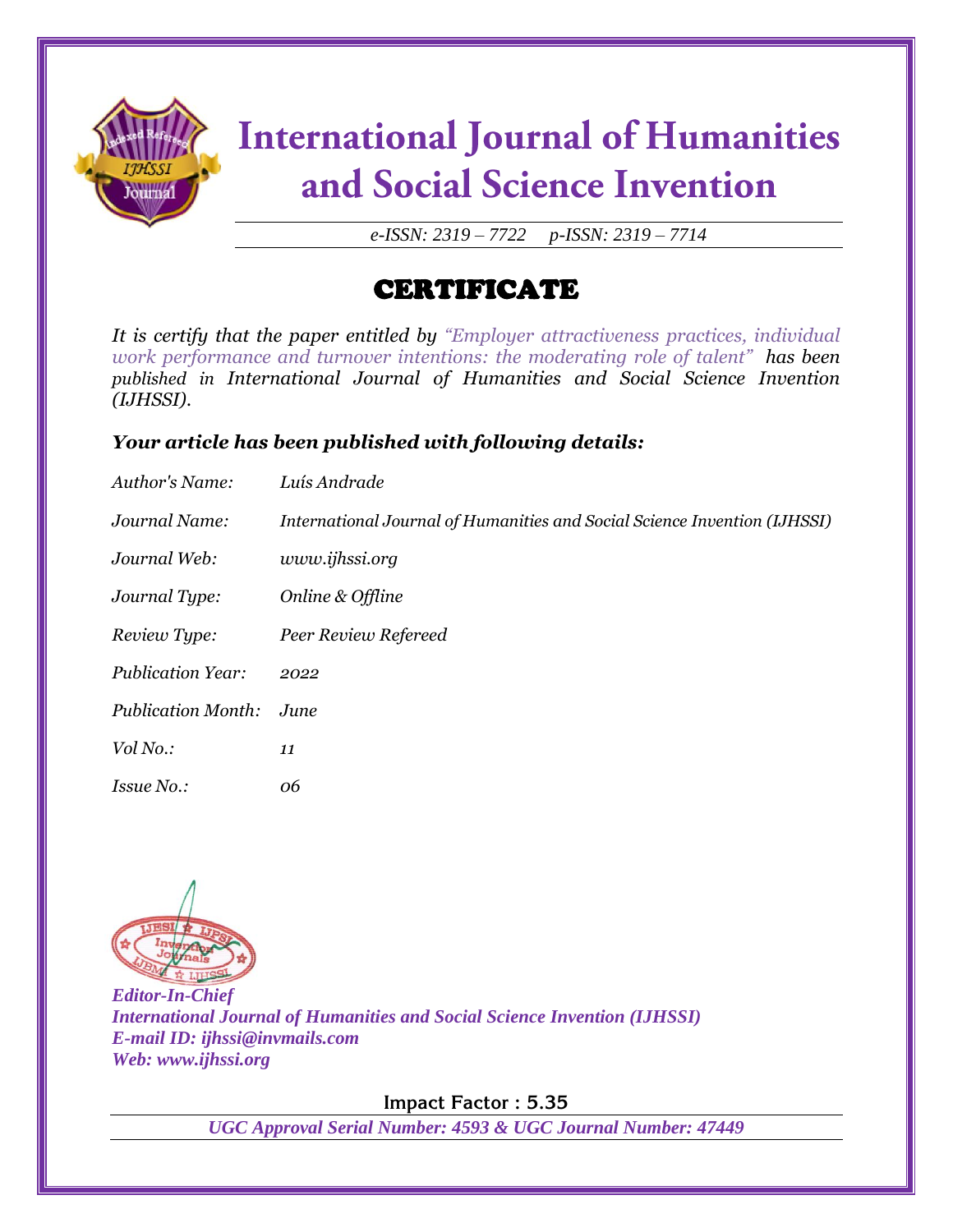

# **International Journal of Humanities** and Social Science Invention

*e-ISSN: 2319 – 7722 p-ISSN: 2319 – 7714*

### CERTIFICATE

*It is certify that the paper entitled by "Employer attractiveness practices, individual work performance and turnover intentions: the moderating role of talent" has been published in International Journal of Humanities and Social Science Invention (IJHSSI).*

#### *Your article has been published with following details:*

| Author's Name:            | Luís Andrade                                                              |
|---------------------------|---------------------------------------------------------------------------|
| Journal Name:             | International Journal of Humanities and Social Science Invention (IJHSSI) |
| Journal Web:              | www.ijhssi.org                                                            |
| Journal Type:             | Online & Offline                                                          |
| Review Type:              | Peer Review Refereed                                                      |
| <b>Publication Year:</b>  | 2022                                                                      |
| <b>Publication Month:</b> | June                                                                      |
| Vol No.:                  | 11                                                                        |
| <i>Issue No.:</i>         | 06                                                                        |



*Editor-In-Chief International Journal of Humanities and Social Science Invention (IJHSSI) E-mail ID: ijhssi@invmails.com Web: www.ijhssi.org*

**Impact Factor : 5.35**

*UGC Approval Serial Number: 4593 & UGC Journal Number: 47449*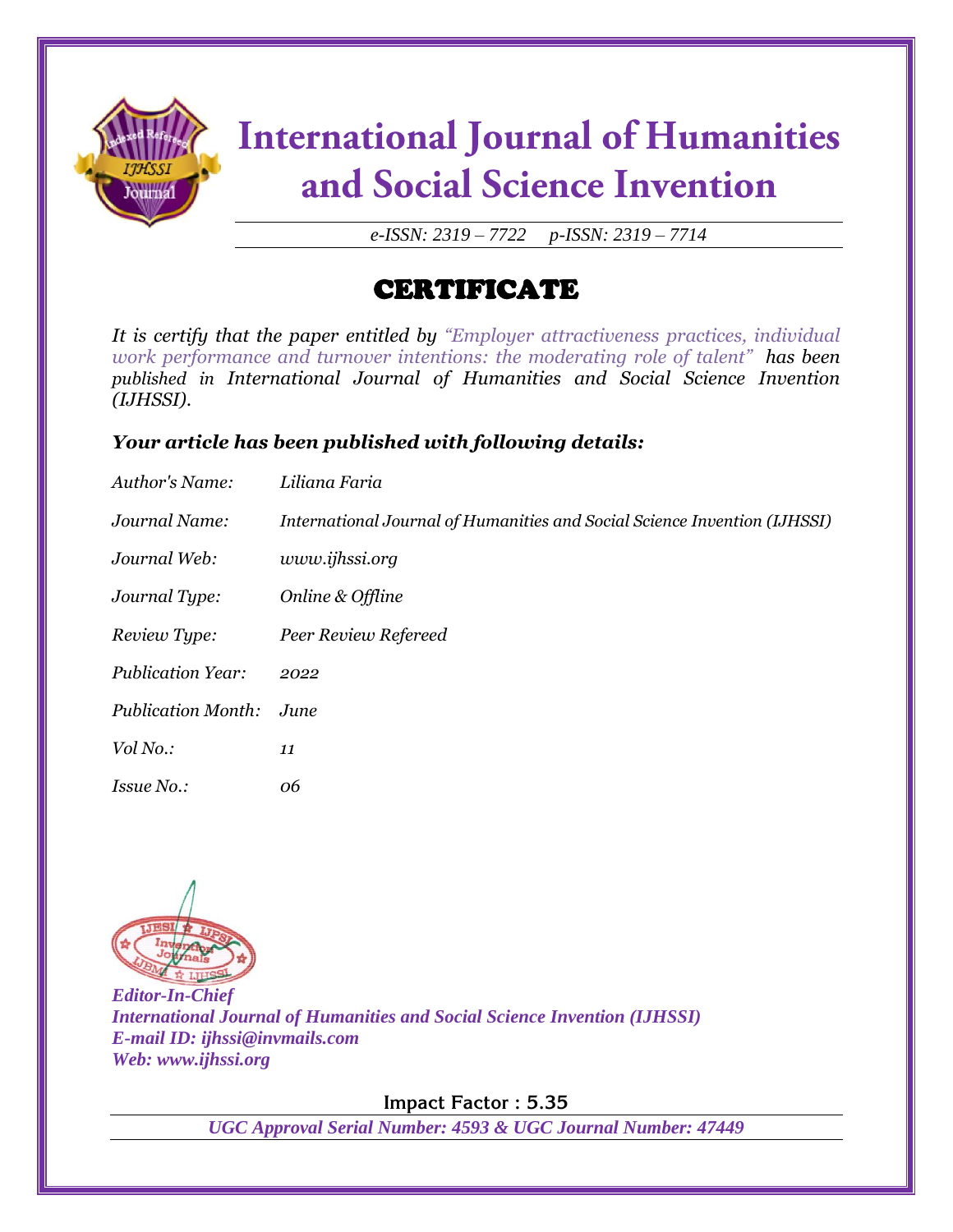

# **International Journal of Humanities** and Social Science Invention

*e-ISSN: 2319 – 7722 p-ISSN: 2319 – 7714*

### CERTIFICATE

*It is certify that the paper entitled by "Employer attractiveness practices, individual work performance and turnover intentions: the moderating role of talent" has been published in International Journal of Humanities and Social Science Invention (IJHSSI).*

#### *Your article has been published with following details:*

| Author's Name:            | Liliana Faria                                                             |
|---------------------------|---------------------------------------------------------------------------|
| Journal Name:             | International Journal of Humanities and Social Science Invention (IJHSSI) |
| Journal Web:              | www.ijhssi.org                                                            |
| Journal Type:             | Online & Offline                                                          |
| Review Type:              | Peer Review Refereed                                                      |
| <b>Publication Year:</b>  | 2022                                                                      |
| <b>Publication Month:</b> | June                                                                      |
| Vol No.:                  | 11                                                                        |
| <i>Issue No.:</i>         | 06                                                                        |



*Editor-In-Chief International Journal of Humanities and Social Science Invention (IJHSSI) E-mail ID: ijhssi@invmails.com Web: www.ijhssi.org*

**Impact Factor : 5.35**

*UGC Approval Serial Number: 4593 & UGC Journal Number: 47449*